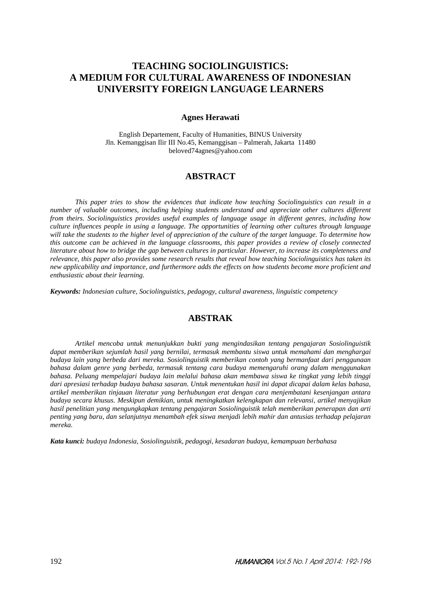# **TEACHING SOCIOLINGUISTICS: A MEDIUM FOR CULTURAL AWARENESS OF INDONESIAN UNIVERSITY FOREIGN LANGUAGE LEARNERS**

### **Agnes Herawati**

English Departement, Faculty of Humanities, BINUS University Jln. Kemanggisan Ilir III No.45, Kemanggisan – Palmerah, Jakarta 11480 beloved74agnes@yahoo.com

# **ABSTRACT**

*This paper tries to show the evidences that indicate how teaching Sociolinguistics can result in a number of valuable outcomes, including helping students understand and appreciate other cultures different from theirs. Sociolinguistics provides useful examples of language usage in different genres, including how culture influences people in using a language. The opportunities of learning other cultures through language will take the students to the higher level of appreciation of the culture of the target language. To determine how this outcome can be achieved in the language classrooms, this paper provides a review of closely connected literature about how to bridge the gap between cultures in particular. However, to increase its completeness and relevance, this paper also provides some research results that reveal how teaching Sociolinguistics has taken its new applicability and importance, and furthermore adds the effects on how students become more proficient and enthusiastic about their learning.* 

*Keywords: Indonesian culture, Sociolinguistics, pedagogy, cultural awareness, linguistic competency* 

# **ABSTRAK**

*Artikel mencoba untuk menunjukkan bukti yang mengindasikan tentang pengajaran Sosiolinguistik dapat memberikan sejumlah hasil yang bernilai, termasuk membantu siswa untuk memahami dan menghargai budaya lain yang berbeda dari mereka. Sosiolinguistik memberikan contoh yang bermanfaat dari penggunaan bahasa dalam genre yang berbeda, termasuk tentang cara budaya memengaruhi orang dalam menggunakan bahasa. Peluang mempelajari budaya lain melalui bahasa akan membawa siswa ke tingkat yang lebih tinggi dari apresiasi terhadap budaya bahasa sasaran. Untuk menentukan hasil ini dapat dicapai dalam kelas bahasa, artikel memberikan tinjauan literatur yang berhubungan erat dengan cara menjembatani kesenjangan antara budaya secara khusus. Meskipun demikian, untuk meningkatkan kelengkapan dan relevansi, artikel menyajikan hasil penelitian yang mengungkapkan tentang pengajaran Sosiolinguistik telah memberikan penerapan dan arti penting yang baru, dan selanjutnya menambah efek siswa menjadi lebih mahir dan antusias terhadap pelajaran mereka.* 

*Kata kunci: budaya Indonesia, Sosiolinguistik, pedagogi, kesadaran budaya, kemampuan berbahasa*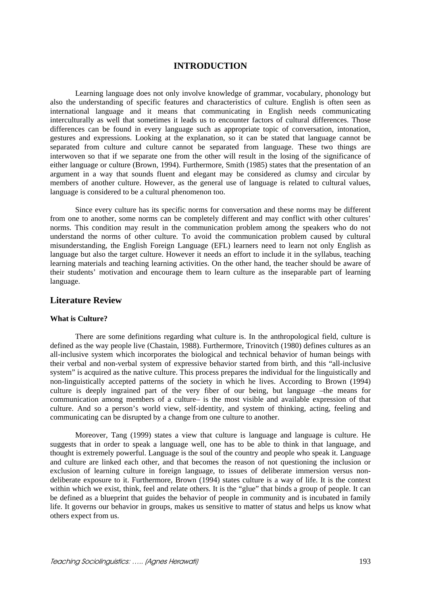# **INTRODUCTION**

Learning language does not only involve knowledge of grammar, vocabulary, phonology but also the understanding of specific features and characteristics of culture. English is often seen as international language and it means that communicating in English needs communicating interculturally as well that sometimes it leads us to encounter factors of cultural differences. Those differences can be found in every language such as appropriate topic of conversation, intonation, gestures and expressions. Looking at the explanation, so it can be stated that language cannot be separated from culture and culture cannot be separated from language. These two things are interwoven so that if we separate one from the other will result in the losing of the significance of either language or culture (Brown, 1994). Furthermore, Smith (1985) states that the presentation of an argument in a way that sounds fluent and elegant may be considered as clumsy and circular by members of another culture. However, as the general use of language is related to cultural values, language is considered to be a cultural phenomenon too.

Since every culture has its specific norms for conversation and these norms may be different from one to another, some norms can be completely different and may conflict with other cultures' norms. This condition may result in the communication problem among the speakers who do not understand the norms of other culture. To avoid the communication problem caused by cultural misunderstanding, the English Foreign Language (EFL) learners need to learn not only English as language but also the target culture. However it needs an effort to include it in the syllabus, teaching learning materials and teaching learning activities. On the other hand, the teacher should be aware of their students' motivation and encourage them to learn culture as the inseparable part of learning language.

# **Literature Review**

### **What is Culture?**

There are some definitions regarding what culture is. In the anthropological field, culture is defined as the way people live (Chastain, 1988). Furthermore, Trinovitch (1980) defines cultures as an all-inclusive system which incorporates the biological and technical behavior of human beings with their verbal and non-verbal system of expressive behavior started from birth, and this "all-inclusive system" is acquired as the native culture. This process prepares the individual for the linguistically and non-linguistically accepted patterns of the society in which he lives. According to Brown (1994) culture is deeply ingrained part of the very fiber of our being, but language –the means for communication among members of a culture– is the most visible and available expression of that culture. And so a person's world view, self-identity, and system of thinking, acting, feeling and communicating can be disrupted by a change from one culture to another.

Moreover, Tang (1999) states a view that culture is language and language is culture. He suggests that in order to speak a language well, one has to be able to think in that language, and thought is extremely powerful. Language is the soul of the country and people who speak it. Language and culture are linked each other, and that becomes the reason of not questioning the inclusion or exclusion of learning culture in foreign language, to issues of deliberate immersion versus nondeliberate exposure to it. Furthermore, Brown (1994) states culture is a way of life. It is the context within which we exist, think, feel and relate others. It is the "glue" that binds a group of people. It can be defined as a blueprint that guides the behavior of people in community and is incubated in family life. It governs our behavior in groups, makes us sensitive to matter of status and helps us know what others expect from us.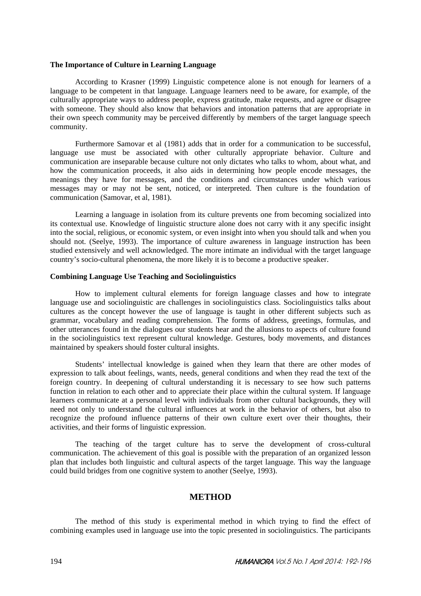#### **The Importance of Culture in Learning Language**

According to Krasner (1999) Linguistic competence alone is not enough for learners of a language to be competent in that language. Language learners need to be aware, for example, of the culturally appropriate ways to address people, express gratitude, make requests, and agree or disagree with someone. They should also know that behaviors and intonation patterns that are appropriate in their own speech community may be perceived differently by members of the target language speech community.

Furthermore Samovar et al (1981) adds that in order for a communication to be successful, language use must be associated with other culturally appropriate behavior. Culture and communication are inseparable because culture not only dictates who talks to whom, about what, and how the communication proceeds, it also aids in determining how people encode messages, the meanings they have for messages, and the conditions and circumstances under which various messages may or may not be sent, noticed, or interpreted. Then culture is the foundation of communication (Samovar, et al, 1981).

Learning a language in isolation from its culture prevents one from becoming socialized into its contextual use. Knowledge of linguistic structure alone does not carry with it any specific insight into the social, religious, or economic system, or even insight into when you should talk and when you should not. (Seelye, 1993). The importance of culture awareness in language instruction has been studied extensively and well acknowledged. The more intimate an individual with the target language country's socio-cultural phenomena, the more likely it is to become a productive speaker.

### **Combining Language Use Teaching and Sociolinguistics**

How to implement cultural elements for foreign language classes and how to integrate language use and sociolinguistic are challenges in sociolinguistics class. Sociolinguistics talks about cultures as the concept however the use of language is taught in other different subjects such as grammar, vocabulary and reading comprehension. The forms of address, greetings, formulas, and other utterances found in the dialogues our students hear and the allusions to aspects of culture found in the sociolinguistics text represent cultural knowledge. Gestures, body movements, and distances maintained by speakers should foster cultural insights.

Students' intellectual knowledge is gained when they learn that there are other modes of expression to talk about feelings, wants, needs, general conditions and when they read the text of the foreign country. In deepening of cultural understanding it is necessary to see how such patterns function in relation to each other and to appreciate their place within the cultural system. If language learners communicate at a personal level with individuals from other cultural backgrounds, they will need not only to understand the cultural influences at work in the behavior of others, but also to recognize the profound influence patterns of their own culture exert over their thoughts, their activities, and their forms of linguistic expression.

The teaching of the target culture has to serve the development of cross-cultural communication. The achievement of this goal is possible with the preparation of an organized lesson plan that includes both linguistic and cultural aspects of the target language. This way the language could build bridges from one cognitive system to another (Seelye, 1993).

### **METHOD**

The method of this study is experimental method in which trying to find the effect of combining examples used in language use into the topic presented in sociolinguistics. The participants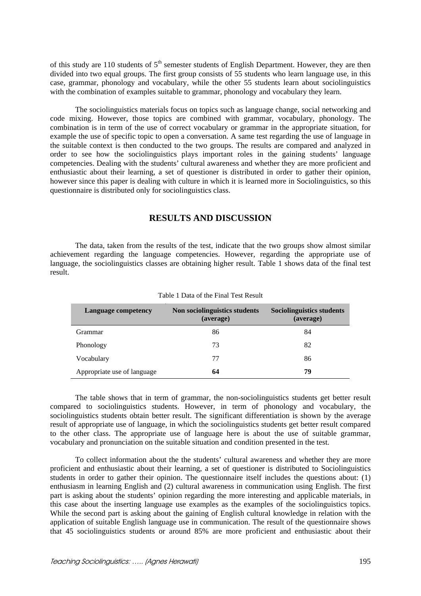of this study are 110 students of  $5<sup>th</sup>$  semester students of English Department. However, they are then divided into two equal groups. The first group consists of 55 students who learn language use, in this case, grammar, phonology and vocabulary, while the other 55 students learn about sociolinguistics with the combination of examples suitable to grammar, phonology and vocabulary they learn.

The sociolinguistics materials focus on topics such as language change, social networking and code mixing. However, those topics are combined with grammar, vocabulary, phonology. The combination is in term of the use of correct vocabulary or grammar in the appropriate situation, for example the use of specific topic to open a conversation. A same test regarding the use of language in the suitable context is then conducted to the two groups. The results are compared and analyzed in order to see how the sociolinguistics plays important roles in the gaining students' language competencies. Dealing with the students' cultural awareness and whether they are more proficient and enthusiastic about their learning, a set of questioner is distributed in order to gather their opinion, however since this paper is dealing with culture in which it is learned more in Sociolinguistics, so this questionnaire is distributed only for sociolinguistics class.

# **RESULTS AND DISCUSSION**

The data, taken from the results of the test, indicate that the two groups show almost similar achievement regarding the language competencies. However, regarding the appropriate use of language, the sociolinguistics classes are obtaining higher result. Table 1 shows data of the final test result.

| <b>Language competency</b>  | Non sociolinguistics students<br>(average) | Sociolinguistics students<br>(average) |
|-----------------------------|--------------------------------------------|----------------------------------------|
| Grammar                     | 86                                         | 84                                     |
| Phonology                   | 73                                         | 82                                     |
| Vocabulary                  | 77                                         | 86                                     |
| Appropriate use of language | 64                                         | 79                                     |

Table 1 Data of the Final Test Result

The table shows that in term of grammar, the non-sociolinguistics students get better result compared to sociolinguistics students. However, in term of phonology and vocabulary, the sociolinguistics students obtain better result. The significant differentiation is shown by the average result of appropriate use of language, in which the sociolinguistics students get better result compared to the other class. The appropriate use of language here is about the use of suitable grammar, vocabulary and pronunciation on the suitable situation and condition presented in the test.

To collect information about the the students' cultural awareness and whether they are more proficient and enthusiastic about their learning, a set of questioner is distributed to Sociolinguistics students in order to gather their opinion. The questionnaire itself includes the questions about: (1) enthusiasm in learning English and (2) cultural awareness in communication using English. The first part is asking about the students' opinion regarding the more interesting and applicable materials, in this case about the inserting language use examples as the examples of the sociolinguistics topics. While the second part is asking about the gaining of English cultural knowledge in relation with the application of suitable English language use in communication. The result of the questionnaire shows that 45 sociolinguistics students or around 85% are more proficient and enthusiastic about their